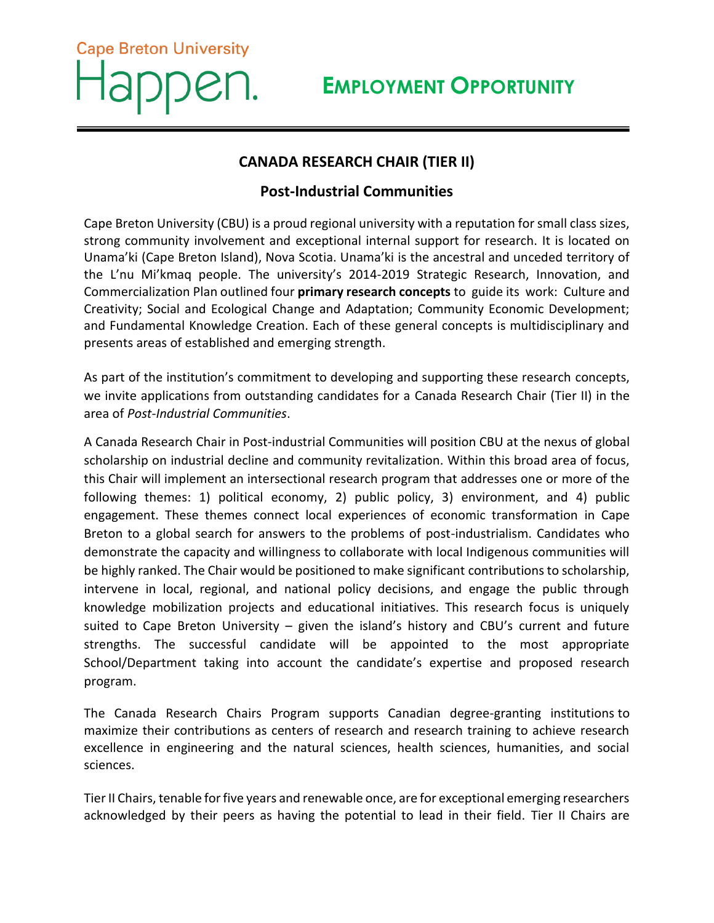## **EMPLOYMENT OPPORTUNITY**

## **CANADA RESEARCH CHAIR (TIER II)**

**Cape Breton University** 

## **Post-Industrial Communities**

Cape Breton University (CBU) is a proud regional university with a reputation for small class sizes, strong community involvement and exceptional internal support for research. It is located on Unama'ki (Cape Breton Island), Nova Scotia. Unama'ki is the ancestral and unceded territory of the L'nu Mi'kmaq people. The university's 2014-2019 Strategic Research, Innovation, and Commercialization Plan outlined four **primary research concepts** to guide its work: Culture and Creativity; Social and Ecological Change and Adaptation; Community Economic Development; and Fundamental Knowledge Creation. Each of these general concepts is multidisciplinary and presents areas of established and emerging strength.

As part of the institution's commitment to developing and supporting these research concepts, we invite applications from outstanding candidates for a Canada Research Chair (Tier II) in the area of *Post-Industrial Communities*.

A Canada Research Chair in Post-industrial Communities will position CBU at the nexus of global scholarship on industrial decline and community revitalization. Within this broad area of focus, this Chair will implement an intersectional research program that addresses one or more of the following themes: 1) political economy, 2) public policy, 3) environment, and 4) public engagement. These themes connect local experiences of economic transformation in Cape Breton to a global search for answers to the problems of post-industrialism. Candidates who demonstrate the capacity and willingness to collaborate with local Indigenous communities will be highly ranked. The Chair would be positioned to make significant contributions to scholarship, intervene in local, regional, and national policy decisions, and engage the public through knowledge mobilization projects and educational initiatives. This research focus is uniquely suited to Cape Breton University – given the island's history and CBU's current and future strengths. The successful candidate will be appointed to the most appropriate School/Department taking into account the candidate's expertise and proposed research program.

The Canada Research Chairs Program supports Canadian degree-granting institutions to maximize their contributions as centers of research and research training to achieve research excellence in engineering and the natural sciences, health sciences, humanities, and social sciences.

Tier II Chairs, tenable for five years and renewable once, are for exceptional emerging researchers acknowledged by their peers as having the potential to lead in their field. Tier II Chairs are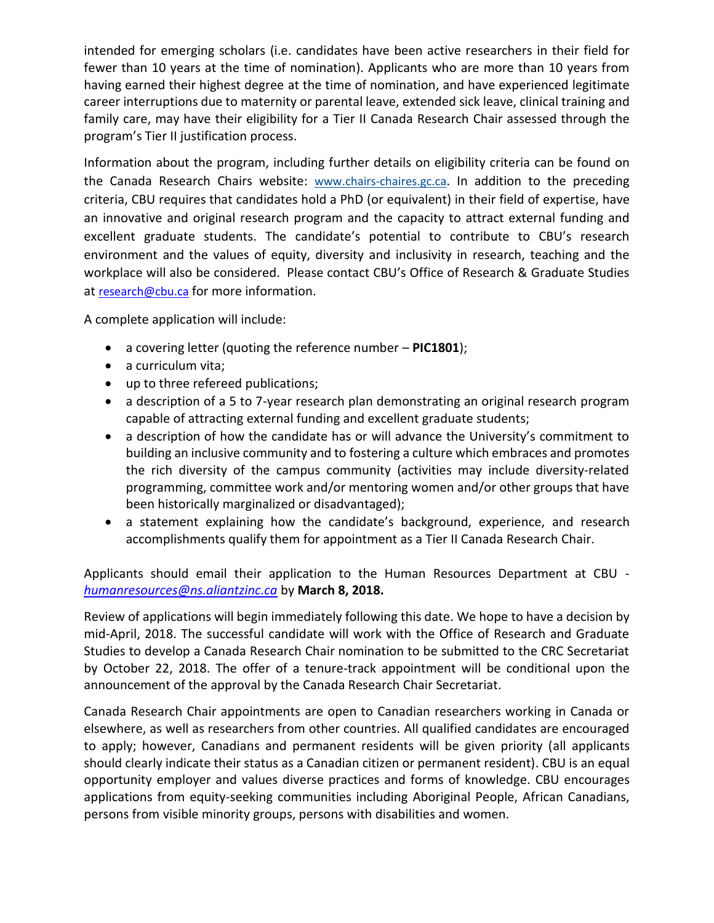intended for emerging scholars (i.e. candidates have been active researchers in their field for fewer than 10 years at the time of nomination). Applicants who are more than 10 years from having earned their highest degree at the time of nomination, and have experienced legitimate career interruptions due to maternity or parental leave, extended sick leave, clinical training and family care, may have their eligibility for a Tier II Canada Research Chair assessed through the program's Tier II justification process.

Information about the program, including further details on eligibility criteria can be found on the Canada Research Chairs website: [www.chairs-chaires.gc.ca](http://www.chairs-chaires.gc.ca/). In addition to the preceding criteria, CBU requires that candidates hold a PhD (or equivalent) in their field of expertise, have an innovative and original research program and the capacity to attract external funding and excellent graduate students. The candidate's potential to contribute to CBU's research environment and the values of equity, diversity and inclusivity in research, teaching and the workplace will also be considered. Please contact CBU's Office of Research & Graduate Studies at [research@cbu.ca](mailto:research@cbu.ca) for more information.

A complete application will include:

- a covering letter (quoting the reference number **PIC1801**);
- a curriculum vita;
- up to three refereed publications;
- a description of a 5 to 7-year research plan demonstrating an original research program capable of attracting external funding and excellent graduate students;
- a description of how the candidate has or will advance the University's commitment to building an inclusive community and to fostering a culture which embraces and promotes the rich diversity of the campus community (activities may include diversity‐related programming, committee work and/or mentoring women and/or other groups that have been historically marginalized or disadvantaged);
- a statement explaining how the candidate's background, experience, and research accomplishments qualify them for appointment as a Tier II Canada Research Chair.

Applicants should email their application to the Human Resources Department at CBU *[humanresources@ns.aliantzinc.ca](mailto:humanresources@ns.aliantzinc.ca)* by **March 8, 2018.**

Review of applications will begin immediately following this date. We hope to have a decision by mid-April, 2018. The successful candidate will work with the Office of Research and Graduate Studies to develop a Canada Research Chair nomination to be submitted to the CRC Secretariat by October 22, 2018. The offer of a tenure-track appointment will be conditional upon the announcement of the approval by the Canada Research Chair Secretariat.

Canada Research Chair appointments are open to Canadian researchers working in Canada or elsewhere, as well as researchers from other countries. All qualified candidates are encouraged to apply; however, Canadians and permanent residents will be given priority (all applicants should clearly indicate their status as a Canadian citizen or permanent resident). CBU is an equal opportunity employer and values diverse practices and forms of knowledge. CBU encourages applications from equity-seeking communities including Aboriginal People, African Canadians, persons from visible minority groups, persons with disabilities and women.